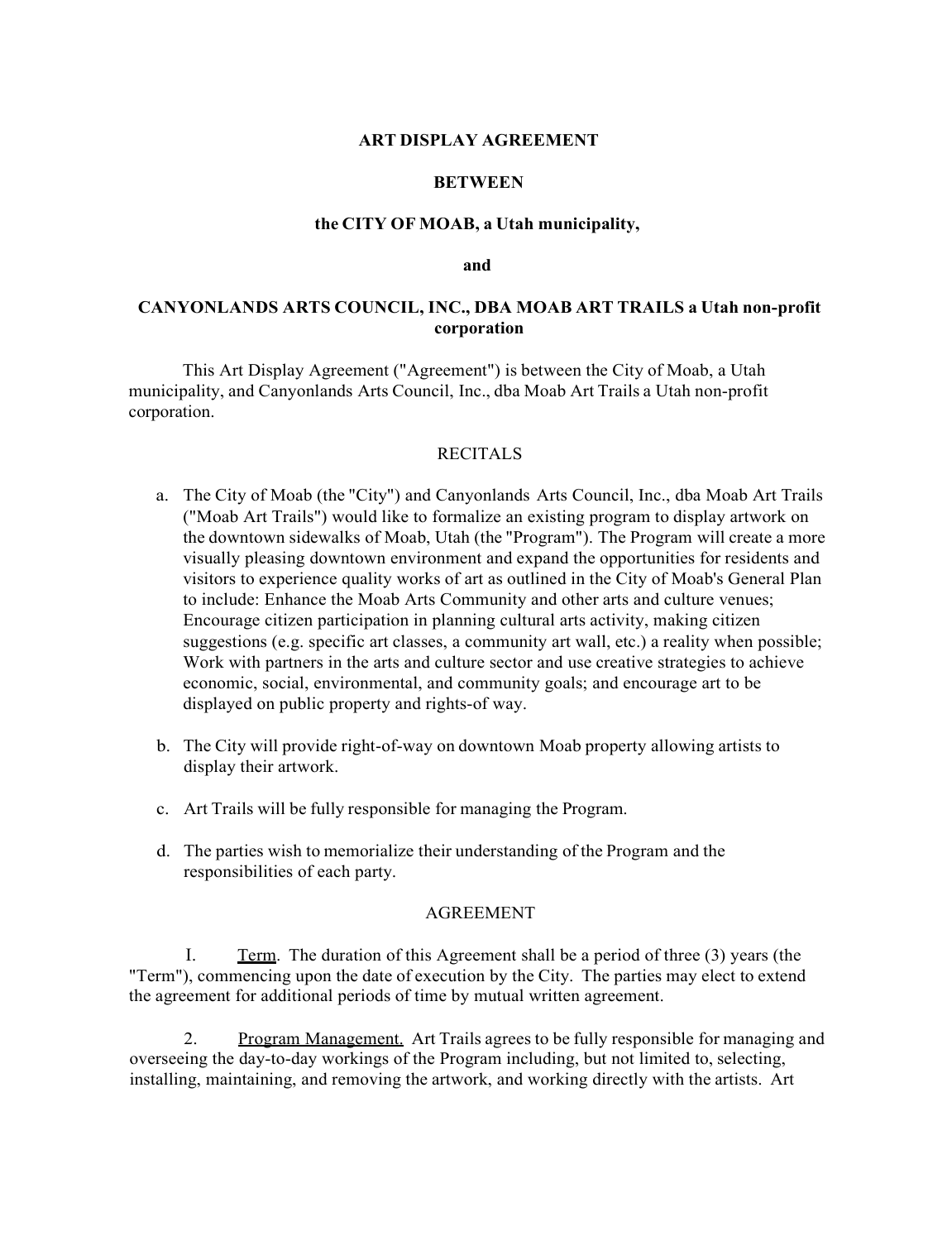### **ART DISPLAY AGREEMENT**

### **BETWEEN**

### **the CITY OF MOAB, a Utah municipality,**

#### **and**

## **CANYONLANDS ARTS COUNCIL, INC., DBA MOAB ART TRAILS a Utah non-profit corporation**

This Art Display Agreement ("Agreement") is between the City of Moab, a Utah municipality, and Canyonlands Arts Council, Inc., dba Moab Art Trails a Utah non-profit corporation.

### RECITALS

- a. The City of Moab (the "City") and Canyonlands Arts Council, Inc., dba Moab Art Trails ("Moab Art Trails") would like to formalize an existing program to display artwork on the downtown sidewalks of Moab, Utah (the "Program"). The Program will create a more visually pleasing downtown environment and expand the opportunities for residents and visitors to experience quality works of art as outlined in the City of Moab's General Plan to include: Enhance the Moab Arts Community and other arts and culture venues; Encourage citizen participation in planning cultural arts activity, making citizen suggestions (e.g. specific art classes, a community art wall, etc.) a reality when possible; Work with partners in the arts and culture sector and use creative strategies to achieve economic, social, environmental, and community goals; and encourage art to be displayed on public property and rights-of way.
- b. The City will provide right-of-way on downtown Moab property allowing artists to display their artwork.
- c. Art Trails will be fully responsible for managing the Program.
- d. The parties wish to memorialize their understanding of the Program and the responsibilities of each party.

### AGREEMENT

I. Term. The duration of this Agreement shall be a period of three (3) years (the "Term"), commencing upon the date of execution by the City. The parties may elect to extend the agreement for additional periods of time by mutual written agreement.

2. Program Management. Art Trails agrees to be fully responsible for managing and overseeing the day-to-day workings of the Program including, but not limited to, selecting, installing, maintaining, and removing the artwork, and working directly with the artists. Art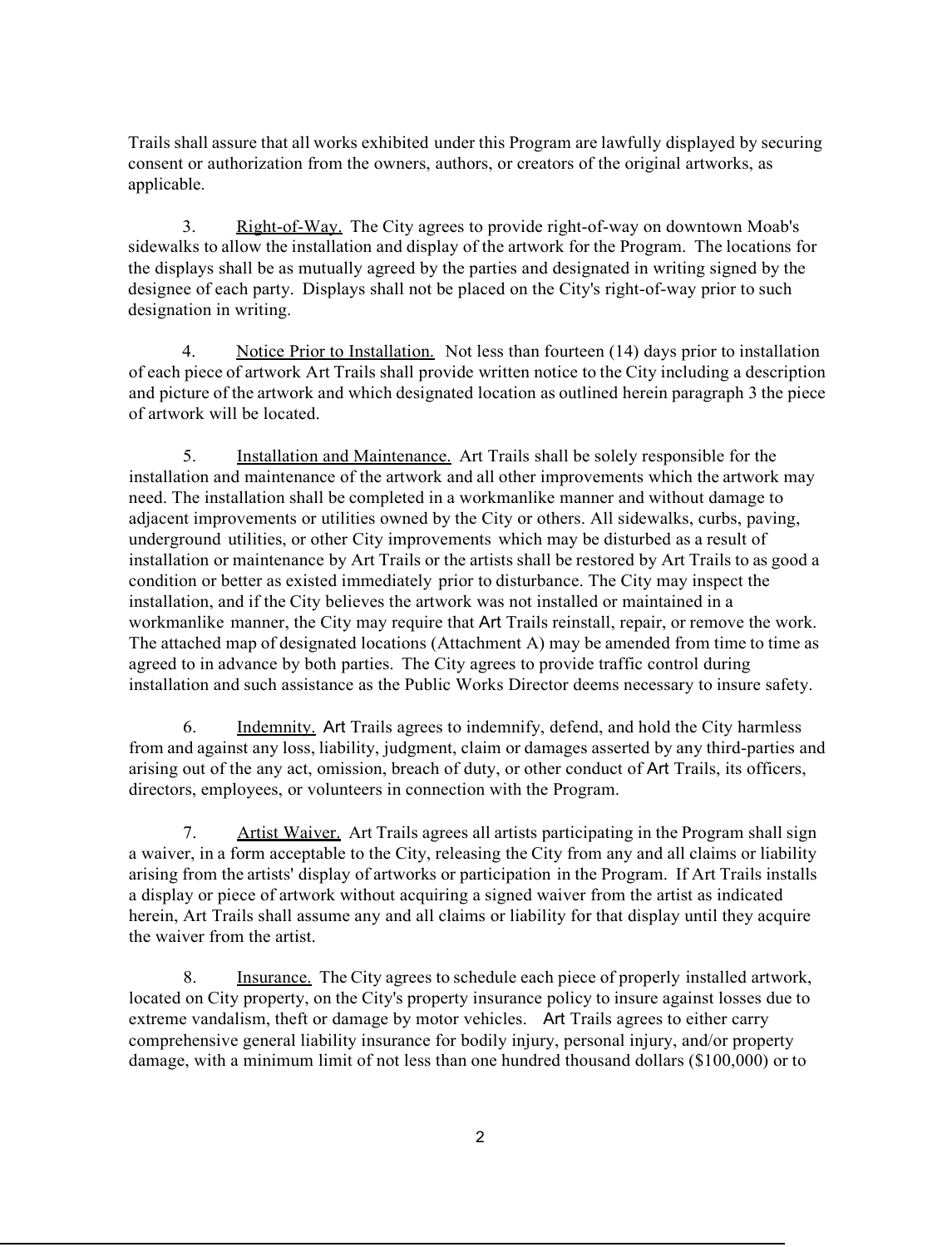Trails shall assure that all works exhibited under this Program are lawfully displayed by securing consent or authorization from the owners, authors, or creators of the original artworks, as applicable.

3. Right-of-Way. The City agrees to provide right-of-way on downtown Moab's sidewalks to allow the installation and display of the artwork for the Program. The locations for the displays shall be as mutually agreed by the parties and designated in writing signed by the designee of each party. Displays shall not be placed on the City's right-of-way prior to such designation in writing.

4. Notice Prior to Installation. Not less than fourteen (14) days prior to installation of each piece of artwork Art Trails shall provide written notice to the City including a description and picture of the artwork and which designated location as outlined herein paragraph 3 the piece of artwork will be located.

5. Installation and Maintenance. Art Trails shall be solely responsible for the installation and maintenance of the artwork and all other improvements which the artwork may need. The installation shall be completed in a workmanlike manner and without damage to adjacent improvements or utilities owned by the City or others. All sidewalks, curbs, paving, underground utilities, or other City improvements which may be disturbed as a result of installation or maintenance by Art Trails or the artists shall be restored by Art Trails to as good a condition or better as existed immediately prior to disturbance. The City may inspect the installation, and if the City believes the artwork was not installed or maintained in a workmanlike manner, the City may require that Art Trails reinstall, repair, or remove the work. The attached map of designated locations (Attachment A) may be amended from time to time as agreed to in advance by both parties. The City agrees to provide traffic control during installation and such assistance as the Public Works Director deems necessary to insure safety.

6. Indemnity. Art Trails agrees to indemnify, defend, and hold the City harmless from and against any loss, liability, judgment, claim or damages asserted by any third-parties and arising out of the any act, omission, breach of duty, or other conduct of Art Trails, its officers, directors, employees, or volunteers in connection with the Program.

7. Artist Waiver. Art Trails agrees all artists participating in the Program shall sign a waiver, in a form acceptable to the City, releasing the City from any and all claims or liability arising from the artists' display of artworks or participation in the Program. If Art Trails installs a display or piece of artwork without acquiring a signed waiver from the artist as indicated herein, Art Trails shall assume any and all claims or liability for that display until they acquire the waiver from the artist.

8. Insurance. The City agrees to schedule each piece of properly installed artwork, located on City property, on the City's property insurance policy to insure against losses due to extreme vandalism, theft or damage by motor vehicles. Art Trails agrees to either carry comprehensive general liability insurance for bodily injury, personal injury, and/or property damage, with a minimum limit of not less than one hundred thousand dollars (\$100,000) or to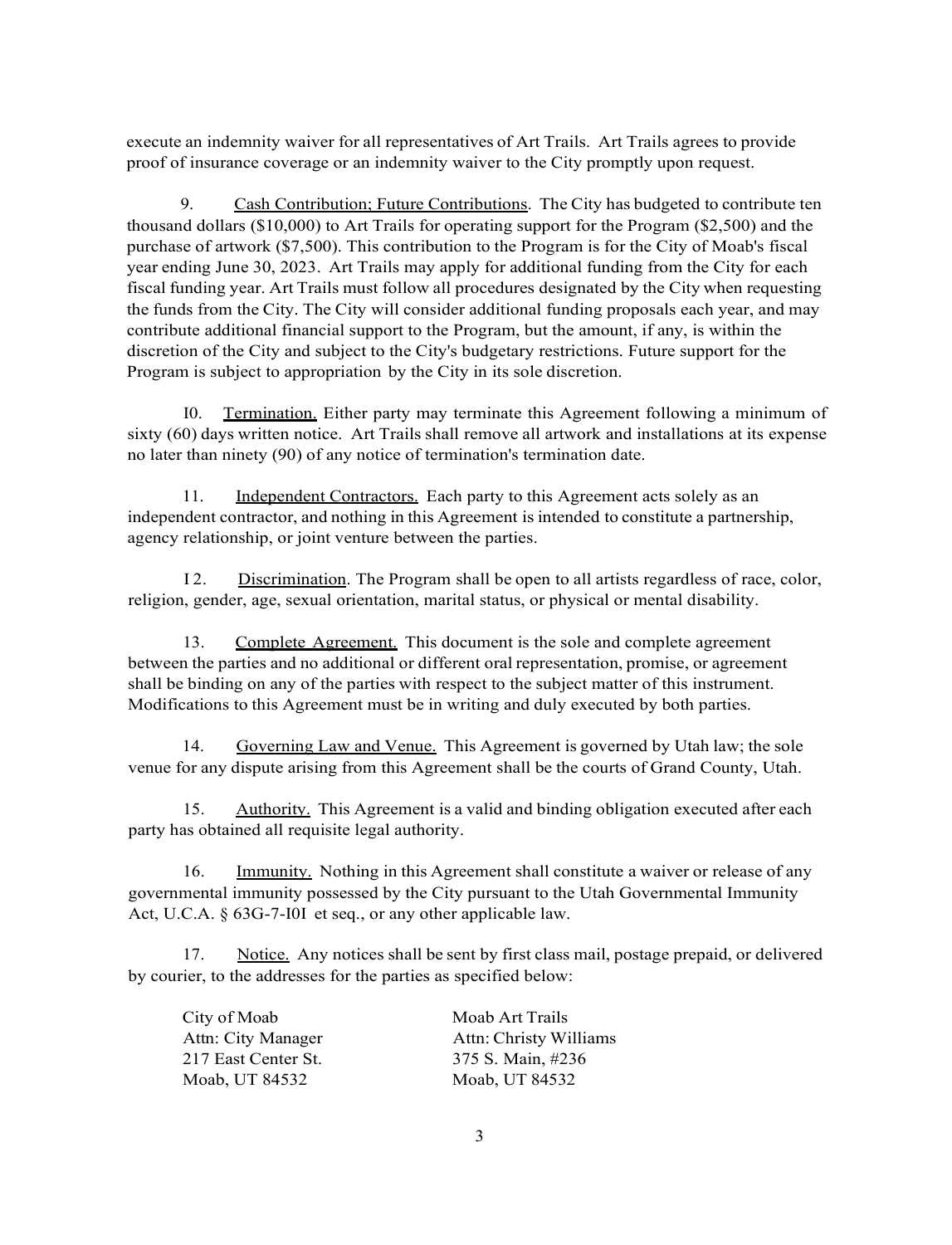execute an indemnity waiver for all representatives of Art Trails. Art Trails agrees to provide proof of insurance coverage or an indemnity waiver to the City promptly upon request.

9. Cash Contribution; Future Contributions. The City has budgeted to contribute ten thousand dollars (\$10,000) to Art Trails for operating support for the Program (\$2,500) and the purchase of artwork (\$7,500). This contribution to the Program is for the City of Moab's fiscal year ending June 30, 2023. Art Trails may apply for additional funding from the City for each fiscal funding year. Art Trails must follow all procedures designated by the City when requesting the funds from the City. The City will consider additional funding proposals each year, and may contribute additional financial support to the Program, but the amount, if any, is within the discretion of the City and subject to the City's budgetary restrictions. Future support for the Program is subject to appropriation by the City in its sole discretion.

I0. Termination. Either party may terminate this Agreement following a minimum of sixty (60) days written notice. Art Trails shall remove all artwork and installations at its expense no later than ninety (90) of any notice of termination's termination date.

11. Independent Contractors. Each party to this Agreement acts solely as an independent contractor, and nothing in this Agreement is intended to constitute a partnership, agency relationship, or joint venture between the parties.

I 2. Discrimination. The Program shall be open to all artists regardless of race, color, religion, gender, age, sexual orientation, marital status, or physical or mental disability.

13. Complete Agreement. This document is the sole and complete agreement between the parties and no additional or different oral representation, promise, or agreement shall be binding on any of the parties with respect to the subject matter of this instrument. Modifications to this Agreement must be in writing and duly executed by both parties.

14. Governing Law and Venue. This Agreement is governed by Utah law; the sole venue for any dispute arising from this Agreement shall be the courts of Grand County, Utah.

15. Authority. This Agreement is a valid and binding obligation executed after each party has obtained all requisite legal authority.

16. Immunity. Nothing in this Agreement shall constitute a waiver or release of any governmental immunity possessed by the City pursuant to the Utah Governmental Immunity Act, U.C.A. § 63G-7-I0I et seq., or any other applicable law.

17. Notice. Any notices shall be sent by first class mail, postage prepaid, or delivered by courier, to the addresses for the parties as specified below:

| City of Moab        | Moab Art Trails        |
|---------------------|------------------------|
| Attn: City Manager  | Attn: Christy Williams |
| 217 East Center St. | 375 S. Main, #236      |
| Moab, UT 84532      | Moab, UT 84532         |